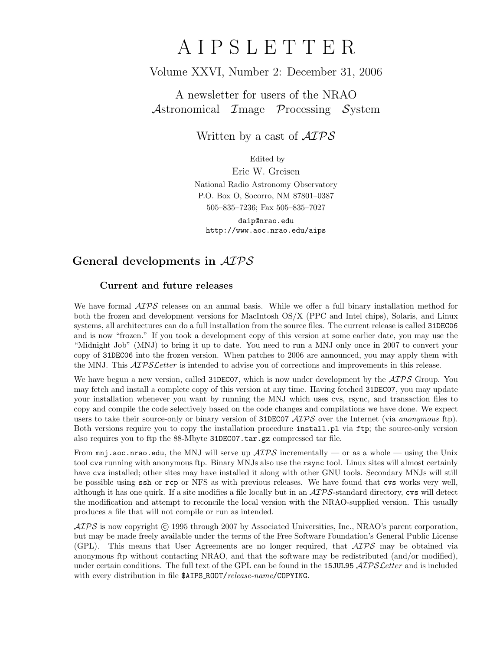# A I P S L E T T E R

# Volume XXVI, Number 2: December 31, 2006

A newsletter for users of the NRAO Astronomical Image Processing System

Written by a cast of  $\mathcal{AIPS}$ 

Edited by

Eric W. Greisen National Radio Astronomy Observatory P.O. Box O, Socorro, NM 87801–0387 505–835–7236; Fax 505–835–7027

daip@nrao.edu http://www.aoc.nrao.edu/aips

# General developments in AIPS

### Current and future releases

We have formal  $\mathcal{AIPS}$  releases on an annual basis. While we offer a full binary installation method for both the frozen and development versions for MacIntosh OS/X (PPC and Intel chips), Solaris, and Linux systems, all architectures can do a full installation from the source files. The current release is called 31DEC06 and is now "frozen." If you took a development copy of this version at some earlier date, you may use the "Midnight Job" (MNJ) to bring it up to date. You need to run a MNJ only once in 2007 to convert your copy of 31DEC06 into the frozen version. When patches to 2006 are announced, you may apply them with the MNJ. This  $\mathcal{ATPSL}$ etter is intended to advise you of corrections and improvements in this release.

We have begun a new version, called 31DEC07, which is now under development by the  $\mathcal{ATPS}$  Group. You may fetch and install a complete copy of this version at any time. Having fetched 31DEC07, you may update your installation whenever you want by running the MNJ which uses cvs, rsync, and transaction files to copy and compile the code selectively based on the code changes and compilations we have done. We expect users to take their source-only or binary version of 31DEC07  $\mathcal{AIPS}$  over the Internet (via anonymous ftp). Both versions require you to copy the installation procedure install.pl via ftp; the source-only version also requires you to ftp the 88-Mbyte 31DEC07.tar.gz compressed tar file.

From  $\text{mni}$ , aoc.nrao.edu, the MNJ will serve up  $\mathcal{AIPS}$  incrementally — or as a whole — using the Unix tool cvs running with anonymous ftp. Binary MNJs also use the rsync tool. Linux sites will almost certainly have cvs installed; other sites may have installed it along with other GNU tools. Secondary MNJs will still be possible using ssh or rcp or NFS as with previous releases. We have found that cvs works very well, although it has one quirk. If a site modifies a file locally but in an  $\mathcal{AIPS}\text{-}standard$  directory, cvs will detect the modification and attempt to reconcile the local version with the NRAO-supplied version. This usually produces a file that will not compile or run as intended.

 $\mathcal{AIPS}$  is now copyright (c) 1995 through 2007 by Associated Universities, Inc., NRAO's parent corporation, but may be made freely available under the terms of the Free Software Foundation's General Public License (GPL). This means that User Agreements are no longer required, that  $\mathcal{AIPS}$  may be obtained via anonymous ftp without contacting NRAO, and that the software may be redistributed (and/or modified), under certain conditions. The full text of the GPL can be found in the 15JUL95 AIPS Letter and is included with every distribution in file \$AIPS\_ROOT/release-name/COPYING.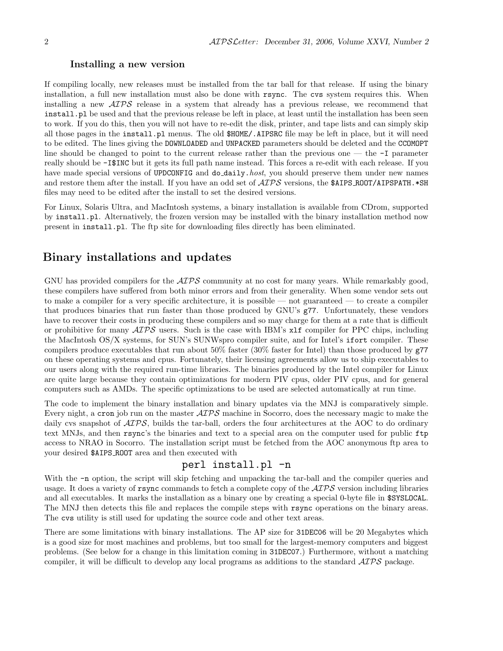#### Installing a new version

If compiling locally, new releases must be installed from the tar ball for that release. If using the binary installation, a full new installation must also be done with rsync. The cvs system requires this. When installing a new  $\mathcal{A} \mathcal{I} \mathcal{P} \mathcal{S}$  release in a system that already has a previous release, we recommend that install.pl be used and that the previous release be left in place, at least until the installation has been seen to work. If you do this, then you will not have to re-edit the disk, printer, and tape lists and can simply skip all those pages in the install.pl menus. The old \$HOME/.AIPSRC file may be left in place, but it will need to be edited. The lines giving the DOWNLOADED and UNPACKED parameters should be deleted and the CCOMOPT line should be changed to point to the current release rather than the previous one — the -I parameter really should be -I\$INC but it gets its full path name instead. This forces a re-edit with each release. If you have made special versions of UPDCONFIG and do\_daily.host, you should preserve them under new names and restore them after the install. If you have an odd set of  $\mathcal{AIPS}$  versions, the \$AIPS ROOT/AIPSPATH. \*SH files may need to be edited after the install to set the desired versions.

For Linux, Solaris Ultra, and MacIntosh systems, a binary installation is available from CDrom, supported by install.pl. Alternatively, the frozen version may be installed with the binary installation method now present in install.pl. The ftp site for downloading files directly has been eliminated.

## Binary installations and updates

GNU has provided compilers for the  $\mathcal{AIPS}$  community at no cost for many years. While remarkably good, these compilers have suffered from both minor errors and from their generality. When some vendor sets out to make a compiler for a very specific architecture, it is possible — not guaranteed — to create a compiler that produces binaries that run faster than those produced by GNU's g77. Unfortunately, these vendors have to recover their costs in producing these compilers and so may charge for them at a rate that is difficult or prohibitive for many  $\mathcal{AIPS}$  users. Such is the case with IBM's  $x1f$  compiler for PPC chips, including the MacIntosh OS/X systems, for SUN's SUNWspro compiler suite, and for Intel's ifort compiler. These compilers produce executables that run about 50% faster (30% faster for Intel) than those produced by g77 on these operating systems and cpus. Fortunately, their licensing agreements allow us to ship executables to our users along with the required run-time libraries. The binaries produced by the Intel compiler for Linux are quite large because they contain optimizations for modern PIV cpus, older PIV cpus, and for general computers such as AMDs. The specific optimizations to be used are selected automatically at run time.

The code to implement the binary installation and binary updates via the MNJ is comparatively simple. Every night, a cron job run on the master  $\mathcal{AIPS}$  machine in Socorro, does the necessary magic to make the daily cvs snapshot of  $\mathcal{AIPS}$ , builds the tar-ball, orders the four architectures at the AOC to do ordinary text MNJs, and then rsync's the binaries and text to a special area on the computer used for public ftp access to NRAO in Socorro. The installation script must be fetched from the AOC anonymous ftp area to your desired \$AIPS ROOT area and then executed with

## perl install.pl -n

With the  $-n$  option, the script will skip fetching and unpacking the tar-ball and the compiler queries and usage. It does a variety of  $\text{rsync}$  commands to fetch a complete copy of the  $\mathcal{AIPS}$  version including libraries and all executables. It marks the installation as a binary one by creating a special 0-byte file in \$SYSLOCAL. The MNJ then detects this file and replaces the compile steps with rsync operations on the binary areas. The cvs utility is still used for updating the source code and other text areas.

There are some limitations with binary installations. The AP size for 31DEC06 will be 20 Megabytes which is a good size for most machines and problems, but too small for the largest-memory computers and biggest problems. (See below for a change in this limitation coming in 31DEC07.) Furthermore, without a matching compiler, it will be difficult to develop any local programs as additions to the standard AIPS package.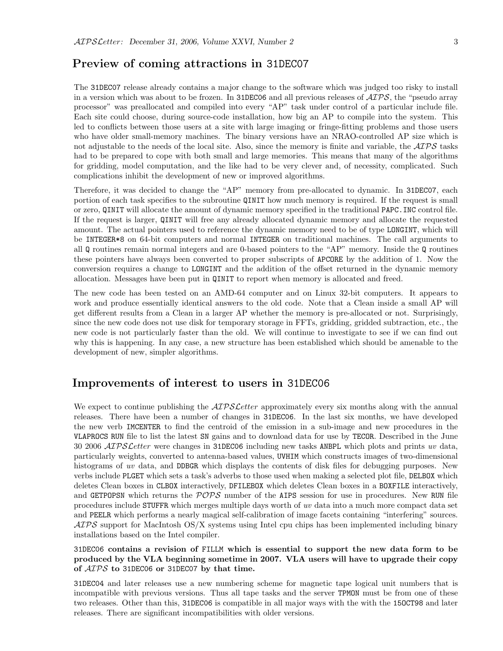## Preview of coming attractions in 31DEC07

The 31DEC07 release already contains a major change to the software which was judged too risky to install in a version which was about to be frozen. In 31DEC06 and all previous releases of  $\mathcal{AIPS}$ , the "pseudo array processor" was preallocated and compiled into every "AP" task under control of a particular include file. Each site could choose, during source-code installation, how big an AP to compile into the system. This led to conflicts between those users at a site with large imaging or fringe-fitting problems and those users who have older small-memory machines. The binary versions have an NRAO-controlled AP size which is not adjustable to the needs of the local site. Also, since the memory is finite and variable, the  $\mathcal{ATPS}$  tasks had to be prepared to cope with both small and large memories. This means that many of the algorithms for gridding, model computation, and the like had to be very clever and, of necessity, complicated. Such complications inhibit the development of new or improved algorithms.

Therefore, it was decided to change the "AP" memory from pre-allocated to dynamic. In 31DEC07, each portion of each task specifies to the subroutine QINIT how much memory is required. If the request is small or zero, QINIT will allocate the amount of dynamic memory specified in the traditional PAPC.INC control file. If the request is larger, QINIT will free any already allocated dynamic memory and allocate the requested amount. The actual pointers used to reference the dynamic memory need to be of type LONGINT, which will be INTEGER\*8 on 64-bit computers and normal INTEGER on traditional machines. The call arguments to all Q routines remain normal integers and are 0-based pointers to the "AP" memory. Inside the Q routines these pointers have always been converted to proper subscripts of APCORE by the addition of 1. Now the conversion requires a change to LONGINT and the addition of the offset returned in the dynamic memory allocation. Messages have been put in QINIT to report when memory is allocated and freed.

The new code has been tested on an AMD-64 computer and on Linux 32-bit computers. It appears to work and produce essentially identical answers to the old code. Note that a Clean inside a small AP will get different results from a Clean in a larger AP whether the memory is pre-allocated or not. Surprisingly, since the new code does not use disk for temporary storage in FFTs, gridding, gridded subtraction, etc., the new code is not particularly faster than the old. We will continue to investigate to see if we can find out why this is happening. In any case, a new structure has been established which should be amenable to the development of new, simpler algorithms.

### Improvements of interest to users in 31DEC06

We expect to continue publishing the  $\mathcal{AIPSLetter}$  approximately every six months along with the annual releases. There have been a number of changes in 31DEC06. In the last six months, we have developed the new verb IMCENTER to find the centroid of the emission in a sub-image and new procedures in the VLAPROCS RUN file to list the latest SN gains and to download data for use by TECOR. Described in the June 30 2006  $ATPSLetter$  were changes in 31DEC06 including new tasks ANBPL which plots and prints uv data, particularly weights, converted to antenna-based values, UVHIM which constructs images of two-dimensional histograms of uv data, and DDBGR which displays the contents of disk files for debugging purposes. New verbs include PLGET which sets a task's adverbs to those used when making a selected plot file, DELBOX which deletes Clean boxes in CLBOX interactively, DFILEBOX which deletes Clean boxes in a BOXFILE interactively, and GETPOPSN which returns the  $POPS$  number of the AIPS session for use in procedures. New RUN file procedures include STUFFR which merges multiple days worth of uv data into a much more compact data set and PEELR which performs a nearly magical self-calibration of image facets containing "interfering" sources.  $ATPS$  support for MacIntosh  $OS/X$  systems using Intel cpu chips has been implemented including binary installations based on the Intel compiler.

31DEC06 contains a revision of FILLM which is essential to support the new data form to be produced by the VLA beginning sometime in 2007. VLA users will have to upgrade their copy of AIPS to 31DEC06 or 31DEC07 by that time.

31DEC04 and later releases use a new numbering scheme for magnetic tape logical unit numbers that is incompatible with previous versions. Thus all tape tasks and the server TPMON must be from one of these two releases. Other than this, 31DEC06 is compatible in all major ways with the with the 15OCT98 and later releases. There are significant incompatibilities with older versions.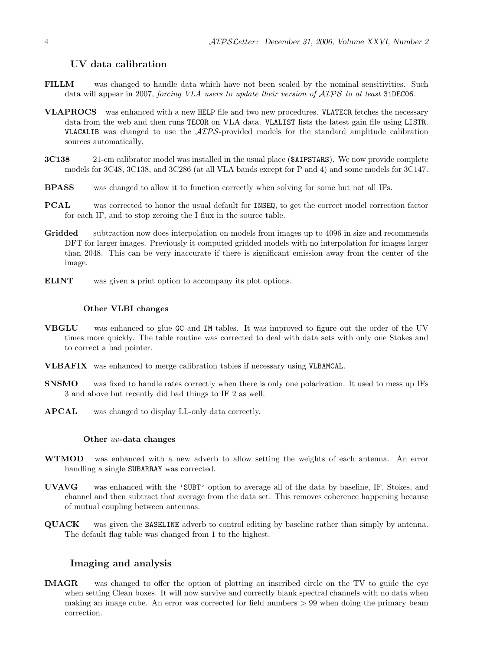#### UV data calibration

- FILLM was changed to handle data which have not been scaled by the nominal sensitivities. Such data will appear in 2007, forcing VLA users to update their version of  $\mathcal{AIPS}$  to at least 31DEC06.
- VLAPROCS was enhanced with a new HELP file and two new procedures. VLATECR fetches the necessary data from the web and then runs TECOR on VLA data. VLALIST lists the latest gain file using LISTR. VLACALIB was changed to use the  $ATPS$ -provided models for the standard amplitude calibration sources automatically.
- 3C138 21-cm calibrator model was installed in the usual place (\$AIPSTARS). We now provide complete models for 3C48, 3C138, and 3C286 (at all VLA bands except for P and 4) and some models for 3C147.
- BPASS was changed to allow it to function correctly when solving for some but not all IFs.
- PCAL was corrected to honor the usual default for INSEQ, to get the correct model correction factor for each IF, and to stop zeroing the I flux in the source table.
- Gridded subtraction now does interpolation on models from images up to 4096 in size and recommends DFT for larger images. Previously it computed gridded models with no interpolation for images larger than 2048. This can be very inaccurate if there is significant emission away from the center of the image.
- ELINT was given a print option to accompany its plot options.

#### Other VLBI changes

- VBGLU was enhanced to glue GC and IM tables. It was improved to figure out the order of the UV times more quickly. The table routine was corrected to deal with data sets with only one Stokes and to correct a bad pointer.
- VLBAFIX was enhanced to merge calibration tables if necessary using VLBAMCAL.
- SNSMO was fixed to handle rates correctly when there is only one polarization. It used to mess up IFs 3 and above but recently did bad things to IF 2 as well.
- APCAL was changed to display LL-only data correctly.

#### Other uv-data changes

- WTMOD was enhanced with a new adverb to allow setting the weights of each antenna. An error handling a single SUBARRAY was corrected.
- UVAVG was enhanced with the 'SUBT' option to average all of the data by baseline, IF, Stokes, and channel and then subtract that average from the data set. This removes coherence happening because of mutual coupling between antennas.
- QUACK was given the BASELINE adverb to control editing by baseline rather than simply by antenna. The default flag table was changed from 1 to the highest.

#### Imaging and analysis

IMAGR was changed to offer the option of plotting an inscribed circle on the TV to guide the eye when setting Clean boxes. It will now survive and correctly blank spectral channels with no data when making an image cube. An error was corrected for field numbers > 99 when doing the primary beam correction.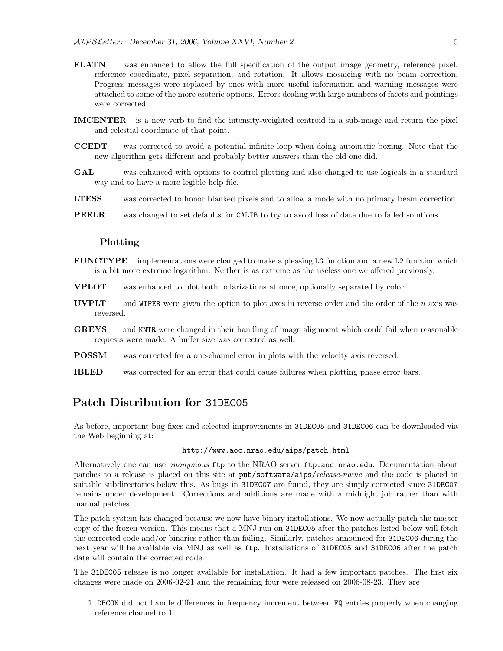- FLATN was enhanced to allow the full specification of the output image geometry, reference pixel, reference coordinate, pixel separation, and rotation. It allows mosaicing with no beam correction. Progress messages were replaced by ones with more useful information and warning messages were attached to some of the more esoteric options. Errors dealing with large numbers of facets and pointings were corrected.
- IMCENTER is a new verb to find the intensity-weighted centroid in a sub-image and return the pixel and celestial coordinate of that point.
- CCEDT was corrected to avoid a potential infinite loop when doing automatic boxing. Note that the new algorithm gets different and probably better answers than the old one did.
- GAL was enhanced with options to control plotting and also changed to use logicals in a standard way and to have a more legible help file.
- LTESS was corrected to honor blanked pixels and to allow a mode with no primary beam correction.
- PEELR was changed to set defaults for CALIB to try to avoid loss of data due to failed solutions.

#### Plotting

- FUNCTYPE implementations were changed to make a pleasing LG function and a new L2 function which is a bit more extreme logarithm. Neither is as extreme as the useless one we offered previously.
- VPLOT was enhanced to plot both polarizations at once, optionally separated by color.
- **UVPLT** and WIPER were given the option to plot axes in reverse order and the order of the  $u$  axis was reversed.
- GREYS and KNTR were changed in their handling of image alignment which could fail when reasonable requests were made. A buffer size was corrected as well.
- POSSM was corrected for a one-channel error in plots with the velocity axis reversed.
- IBLED was corrected for an error that could cause failures when plotting phase error bars.

# Patch Distribution for 31DEC05

As before, important bug fixes and selected improvements in 31DEC05 and 31DEC06 can be downloaded via the Web beginning at:

#### http://www.aoc.nrao.edu/aips/patch.html

Alternatively one can use *anonymous* ftp to the NRAO server ftp.aoc.nrao.edu. Documentation about patches to a release is placed on this site at pub/software/aips/release-name and the code is placed in suitable subdirectories below this. As bugs in 31DEC07 are found, they are simply corrected since 31DEC07 remains under development. Corrections and additions are made with a midnight job rather than with manual patches.

The patch system has changed because we now have binary installations. We now actually patch the master copy of the frozen version. This means that a MNJ run on 31DEC05 after the patches listed below will fetch the corrected code and/or binaries rather than failing. Similarly, patches announced for 31DEC06 during the next year will be available via MNJ as well as ftp. Installations of 31DEC05 and 31DEC06 after the patch date will contain the corrected code.

The 31DEC05 release is no longer available for installation. It had a few important patches. The first six changes were made on 2006-02-21 and the remaining four were released on 2006-08-23. They are

1. DBCON did not handle differences in frequency increment between FQ entries properly when changing reference channel to 1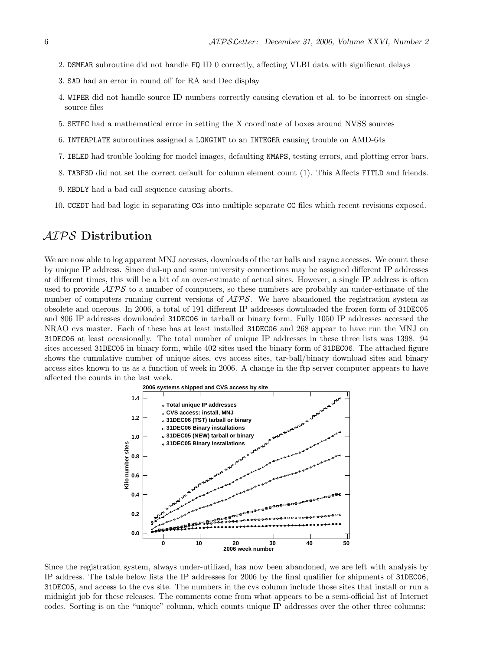- 2. DSMEAR subroutine did not handle FQ ID 0 correctly, affecting VLBI data with significant delays
- 3. SAD had an error in round off for RA and Dec display
- 4. WIPER did not handle source ID numbers correctly causing elevation et al. to be incorrect on singlesource files
- 5. SETFC had a mathematical error in setting the X coordinate of boxes around NVSS sources
- 6. INTERPLATE subroutines assigned a LONGINT to an INTEGER causing trouble on AMD-64s
- 7. IBLED had trouble looking for model images, defaulting NMAPS, testing errors, and plotting error bars.
- 8. TABF3D did not set the correct default for column element count (1). This Affects FITLD and friends.
- 9. MBDLY had a bad call sequence causing aborts.
- 10. CCEDT had bad logic in separating CCs into multiple separate CC files which recent revisions exposed.

# AIPS Distribution

We are now able to log apparent MNJ accesses, downloads of the tar balls and rsync accesses. We count these by unique IP address. Since dial-up and some university connections may be assigned different IP addresses at different times, this will be a bit of an over-estimate of actual sites. However, a single IP address is often used to provide  $\mathcal{AIPS}$  to a number of computers, so these numbers are probably an under-estimate of the number of computers running current versions of  $\widehat{AIPS}$ . We have abandoned the registration system as obsolete and onerous. In 2006, a total of 191 different IP addresses downloaded the frozen form of 31DEC05 and 806 IP addresses downloaded 31DEC06 in tarball or binary form. Fully 1050 IP addresses accessed the NRAO cvs master. Each of these has at least installed 31DEC06 and 268 appear to have run the MNJ on 31DEC06 at least occasionally. The total number of unique IP addresses in these three lists was 1398. 94 sites accessed 31DEC05 in binary form, while 402 sites used the binary form of 31DEC06. The attached figure shows the cumulative number of unique sites, cvs access sites, tar-ball/binary download sites and binary access sites known to us as a function of week in 2006. A change in the ftp server computer appears to have affected the counts in the last week.



Since the registration system, always under-utilized, has now been abandoned, we are left with analysis by IP address. The table below lists the IP addresses for 2006 by the final qualifier for shipments of 31DEC06, 31DEC05, and access to the cvs site. The numbers in the cvs column include those sites that install or run a midnight job for these releases. The comments come from what appears to be a semi-official list of Internet codes. Sorting is on the "unique" column, which counts unique IP addresses over the other three columns: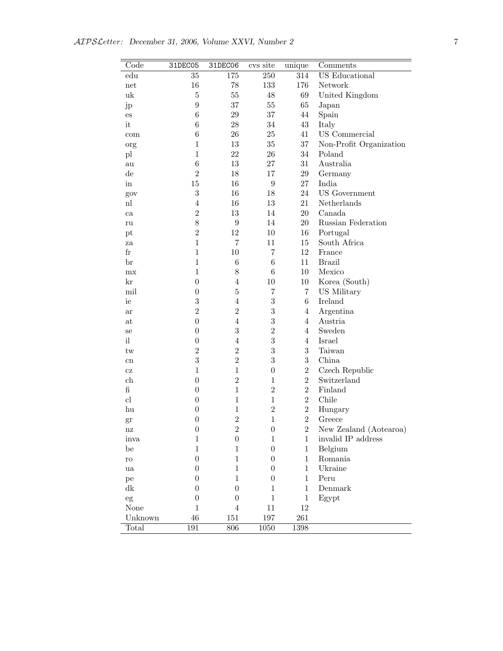| Code                       | 31DEC05          | 31DEC06          | cvs site         | unique         | Comments                |
|----------------------------|------------------|------------------|------------------|----------------|-------------------------|
| $_{\rm edu}$               | 35               | 175              | 250              | 314            | <b>US</b> Educational   |
| net                        | 16               | 78               | 133              | 176            | Network                 |
| uk                         | $\overline{5}$   | 55               | 48               | 69             | United Kingdom          |
| jp                         | $\boldsymbol{9}$ | 37               | $55\,$           | 65             | Japan                   |
| $\mathop{\mathrm{es}}$     | $\,6$            | $\,29$           | 37               | 44             | Spain                   |
| it                         | $\,6$            | $28\,$           | 34               | 43             | Italy                   |
| com                        | $\,6$            | $26\,$           | 25               | 41             | US Commercial           |
| org                        | $\mathbf{1}$     | 13               | 35               | 37             | Non-Profit Organization |
| $\mathop{\rm pl}\nolimits$ | $\mathbf{1}$     | 22               | 26               | 34             | Poland                  |
| au                         | $\,6$            | 13               | 27               | 31             | Australia               |
| $\mathrm{d}\mathrm{e}$     | $\overline{2}$   | $18\,$           | 17               | $\,29$         | Germany                 |
| in                         | $15\,$           | 16               | $\boldsymbol{9}$ | 27             | India                   |
| gov                        | 3                | 16               | 18               | 24             | <b>US</b> Government    |
| nl                         | $\overline{4}$   | 16               | $13\,$           | 21             | Netherlands             |
| ca                         | $\overline{2}$   | 13               | 14               | 20             | Canada                  |
| ru                         | 8                | $\boldsymbol{9}$ | 14               | 20             | Russian Federation      |
| pt                         | $\overline{2}$   | 12               | $10\,$           | $16\,$         | Portugal                |
| za                         | $\mathbf{1}$     | $\overline{7}$   | 11               | 15             | South Africa            |
| $_{\rm fr}$                | $\mathbf{1}$     | 10               | $\overline{7}$   | 12             | France                  |
| br                         | $\mathbf{1}$     | $\,6$            | $\,6$            | 11             | <b>Brazil</b>           |
| mx                         | $\mathbf{1}$     | $8\,$            | $\,6$            | 10             | Mexico                  |
| kr                         | $\boldsymbol{0}$ | $\overline{4}$   | 10               | $10\,$         | Korea (South)           |
| mil                        | $\boldsymbol{0}$ | $\overline{5}$   | 7                | $\overline{7}$ | US Military             |
| ie                         | $\overline{3}$   | $\overline{4}$   | $\,3$            | 6              | Ireland                 |
| ar                         | $\overline{2}$   | $\overline{2}$   | $\sqrt{3}$       | $\overline{4}$ | Argentina               |
| at                         | $\boldsymbol{0}$ | $\overline{4}$   | $\sqrt{3}$       | $\overline{4}$ | Austria                 |
| se                         | $\boldsymbol{0}$ | 3                | $\overline{2}$   | $\overline{4}$ | Sweden                  |
| il                         | $\boldsymbol{0}$ | $\overline{4}$   | 3                | $\overline{4}$ | Israel                  |
| $\mathop{\mathrm{tw}}$     | $\overline{2}$   | $\overline{2}$   | 3                | 3              | Taiwan                  |
| cn                         | 3                | $\overline{2}$   | 3                | 3              | China                   |
| CZ                         | $\mathbf{1}$     | $\mathbf{1}$     | $\boldsymbol{0}$ | $\overline{2}$ | Czech Republic          |
| ch                         | $\boldsymbol{0}$ | $\overline{2}$   | $\mathbf{1}$     | $\overline{2}$ | Switzerland             |
| $\mathbf f$                | $\boldsymbol{0}$ | $\mathbf{1}$     | $\overline{2}$   | $\overline{2}$ | Finland                 |
| cl                         | $\boldsymbol{0}$ | $\mathbf{1}$     | $\mathbf{1}$     | $\overline{2}$ | Chile                   |
| hu                         | $\boldsymbol{0}$ | $\mathbf{1}$     | $\overline{2}$   | $\overline{2}$ | Hungary                 |
| gr                         | $\boldsymbol{0}$ | $\overline{2}$   | $\mathbf{1}$     | $\overline{2}$ | Greece                  |
| nz                         | $\boldsymbol{0}$ | $\,2$            | $\boldsymbol{0}$ | $\overline{2}$ | New Zealand (Aotearoa)  |
| inva                       | $\mathbf{1}$     | $\boldsymbol{0}$ | $\mathbf{1}$     | $\mathbf{1}$   | invalid IP address      |
| be                         | $\mathbf{1}$     | $\mathbf{1}$     | $\boldsymbol{0}$ | $\mathbf{1}$   | Belgium                 |
| ro                         | $\boldsymbol{0}$ | $\mathbf{1}$     | $\boldsymbol{0}$ | $\mathbf{1}$   | Romania                 |
| ua                         | $\boldsymbol{0}$ | $\mathbf{1}$     | $\boldsymbol{0}$ | $\mathbf{1}$   | Ukraine                 |
| pe                         | $\boldsymbol{0}$ | $\mathbf{1}$     | $\boldsymbol{0}$ | $\mathbf{1}$   | Peru                    |
| dk                         | $\boldsymbol{0}$ | $\boldsymbol{0}$ | $\mathbf{1}$     | $\mathbf{1}$   | Denmark                 |
| eg                         | $\boldsymbol{0}$ | $\boldsymbol{0}$ | $\mathbf{1}$     | $\mathbf{1}$   | Egypt                   |
| None                       | $\mathbf{1}$     | $\overline{4}$   | $11\,$           | 12             |                         |
| Unknown                    | $46\,$           | 151              | 197              | 261            |                         |
| Total                      | 191              | 806              | 1050             | $1398\,$       |                         |